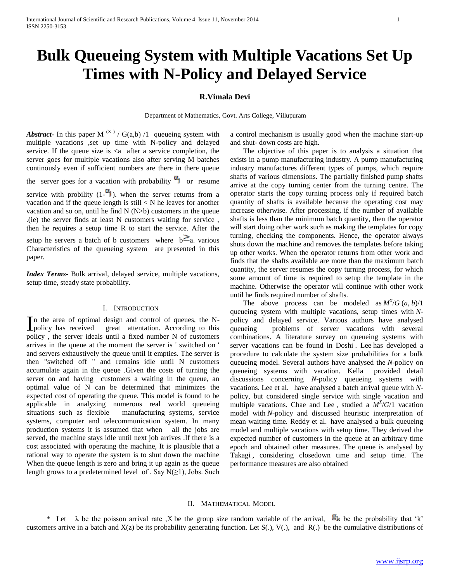# **Bulk Queueing System with Multiple Vacations Set Up Times with N-Policy and Delayed Service**

# **R.Vimala Devi**

Department of Mathematics, Govt. Arts College, Villupuram

*Abstract***-** In this paper M  $(X)$  / G(a,b) /1 queueing system with multiple vacations ,set up time with N-policy and delayed service. If the queue size is  $\langle a \rangle$  after a service completion, the server goes for multiple vacations also after serving M batches continously even if sufficient numbers are there in there queue the server goes for a vacation with probability  $\alpha_j$  or resume service with probility  $(1-\alpha)$ . when the server returns from a vacation and if the queue length is still  $\langle N \rangle$  he leaves for another vacation and so on, until he find  $N(N>b)$  customers in the queue .(ie) the server finds at least N customers waiting for service , then he requires a setup time R to start the service. After the setup he servers a batch of b customers where  $b^2a$  various Characteristics of the queueing system are presented in this

*Index Terms*- Bulk arrival, delayed service, multiple vacations, setup time, steady state probability.

paper.

## I. INTRODUCTION

n the area of optimal design and control of queues, the N-In the area of optimal design and control of queues, the N-<br>policy has received great attentation. According to this policy , the server ideals until a fixed number N of customers arrives in the queue at the moment the server is ' switched on ' and servers exhaustively the queue until it empties. The server is then "switched off " and remains idle until N customers accumulate again in the queue .Given the costs of turning the server on and having customers a waiting in the queue, an optimal value of N can be determined that minimizes the expected cost of operating the queue. This model is found to be applicable in analyzing numerous real world queueing situations such as flexible manufacturing systems, service systems, computer and telecommunication system. In many production systems it is assumed that when all the jobs are served, the machine stays idle until next job arrives .If there is a cost associated with operating the machine, It is plausible that a rational way to operate the system is to shut down the machine When the queue length is zero and bring it up again as the queue length grows to a predetermined level of, Say  $N(\geq 1)$ , Jobs. Such

a control mechanism is usually good when the machine start-up and shut- down costs are high.

 The objective of this paper is to analysis a situation that exists in a pump manufacturing industry. A pump manufacturing industry manufactures different types of pumps, which require shafts of various dimensions. The partially finished pump shafts arrive at the copy turning center from the turning centre. The operator starts the copy turning process only if required batch quantity of shafts is available because the operating cost may increase otherwise. After processing, if the number of available shafts is less than the minimum batch quantity, then the operator will start doing other work such as making the templates for copy turning, checking the components. Hence, the operator always shuts down the machine and removes the templates before taking up other works. When the operator returns from other work and finds that the shafts available are more than the maximum batch quantity, the server resumes the copy turning process, for which some amount of time is required to setup the template in the machine. Otherwise the operator will continue with other work until he finds required number of shafts.

The above process can be modeled as  $M^X/G$   $(a, b)/1$ queueing system with multiple vacations, setup times with *N*policy and delayed service. Various authors have analysed queueing problems of server vacations with several combinations. A literature survey on queueing systems with server vacations can be found in Doshi . Lee has developed a procedure to calculate the system size probabilities for a bulk queueing model. Several authors have analysed the *N*-policy on queueing systems with vacation. Kella provided detail discussions concerning *N*-policy queueing systems with vacations. Lee et al. have analysed a batch arrival queue with *N*policy, but considered single service with single vacation and multiple vacations. Chae and Lee, studied a  $M^X/G/1$  vacation model with *N*-policy and discussed heuristic interpretation of mean waiting time. Reddy et al. have analysed a bulk queueing model and multiple vacations with setup time. They derived the expected number of customers in the queue at an arbitrary time epoch and obtained other measures. The queue is analysed by Takagi , considering closedown time and setup time. The performance measures are also obtained

# II. MATHEMATICAL MODEL

\* Let  $\lambda$  be the poisson arrival rate ,X be the group size random variable of the arrival,  $g_k$  be the probability that 'k' customers arrive in a batch and  $X(z)$  be its probability generating function. Let  $S(.)$ ,  $V(.)$ , and  $R(.)$  be the cumulative distributions of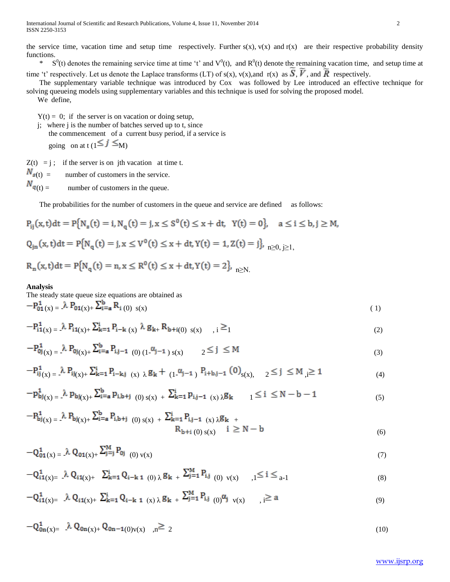the service time, vacation time and setup time respectively. Further  $s(x)$ ,  $v(x)$  and  $r(x)$  are their respective probability density functions.

<sup>\*</sup> S<sup>0</sup>(t) denotes the remaining service time at time 't' and V<sup>0</sup>(t), and R<sup>0</sup>(t) denote the remaining vacation time, and setup time at time 't' respectively. Let us denote the Laplace transforms (LT) of s(x), v(x),and r(x) as  $\overline{S}$ ,  $\overline{V}$ , and  $\overline{R}$  respectively.

 The supplementary variable technique was introduced by Cox was followed by Lee introduced an effective technique for solving queueing models using supplementary variables and this technique is used for solving the proposed model. We define,

 $Y(t) = 0$ ; if the server is on vacation or doing setup,

 j; where j is the number of batches served up to t, since the commencement of a current busy period, if a service is going on at t  $(1 \le j \le M)$ 

 $Z(t) = i$ ; if the server is on jth vacation at time t.

 $N_{s(t)}$  = number of customers in the service.

 $N_{q(t)} =$  number of customers in the queue.

The probabilities for the number of customers in the queue and service are defined as follows:

$$
P_{ij}(x,t)dt = P\{N_s(t) = i, N_q(t) = j, x \le S^0(t) \le x + dt, Y(t) = 0\}, \quad a \le i \le b, j \ge M,
$$
  

$$
Q_{jn}(x,t)dt = P\{N_q(t) = j, x \le V^0(t) \le x + dt, Y(t) = 1, Z(t) = j\}, n \ge 0, j \ge 1,
$$

$$
R_n(x,t)dt=P\{N_q(t)=n, x\leq R^0(t)\leq x+dt, Y(t)=2\},\;_{n\geq N.}
$$

## **Analysis**

The steady state queue size equations are obtained as  $-P_{01}(x) = \lambda P_{01}(x) + \sum_{i=a}^{b} R_{i}(0) s(x)$  (1)

$$
-P_{i1(x)}^{1} = \lambda P_{i1(x)} + \sum_{k=1}^{i} P_{i-k(x)} \lambda g_{k+} R_{b+i(0) s(x)}, \quad i \geq 1
$$
 (2)

$$
-P_{0j}^{1} (x) = \lambda P_{0j} (x) + \sum_{i=a}^{b} P_{i,j-1} (0) (1^{-\alpha_{j-1}}) s(x) \qquad 2 \le j \le M
$$
 (3)

$$
-P_{ij}^{1}(x) = \lambda P_{ij(x)+} \sum_{k=1}^{i} P_{i-k,j} (x) \lambda g_{k} + (1^{a_{j-1}})^{a_{j+1}} P_{i+b,j-1} (0)_{s(x), \quad 2 \le j \le M} \le 1
$$
 (4)

$$
-p_{bj(x)}^1 = \lambda p_{bj(x)+} \sum_{i=a}^{b} p_{i,b+j} (0) s(x) + \sum_{k=1}^{i} p_{i,j-1} (x) \lambda g_k \qquad 1 \le i \le N-b-1
$$
 (5)

$$
-P_{bj(x)}^{1} = \lambda P_{bj(x)+} \sum_{i=a}^{b} P_{i,b+j} (0) s(x) + \sum_{k=1}^{i} P_{i,j-1} (x) \lambda g_{k} + R_{b+i} (0) s(x) \quad i \ge N - b
$$
 (6)

$$
-Q_{01}^{1}(x) = \lambda Q_{01}(x) + \sum_{j=1}^{M} P_{0j} \tag{7}
$$

$$
-Q_{i1(x)=}^{1} \ \lambda \ Q_{i1(x)+} \ \ \sum_{k=1}^{i} Q_{i-k \ 1} \ (0) \ \lambda \ g_{k \ +} \ \sum_{j=1}^{M} P_{i,j} \ (0) \ v(x) \quad \ \ ,1 \leq i \leq a-1 \tag{8}
$$

$$
-Q_{i1(x)=}^{1} \quad \lambda \ Q_{i1(x)+} \ \Sigma_{k=1}^{i} \ Q_{i-k \ 1} \ (x) \ \lambda \ g_{k \ +} \ \Sigma_{j=1}^{M} \ P_{i,j} \ (0)^{\alpha_{j}} \ v(x) \qquad , i \geq a
$$

$$
-Q_{0n(x)=}^{1} \quad \lambda Q_{0n(x)+} Q_{0n-1(0)v(x)}, \quad n \ge 2
$$
 (10)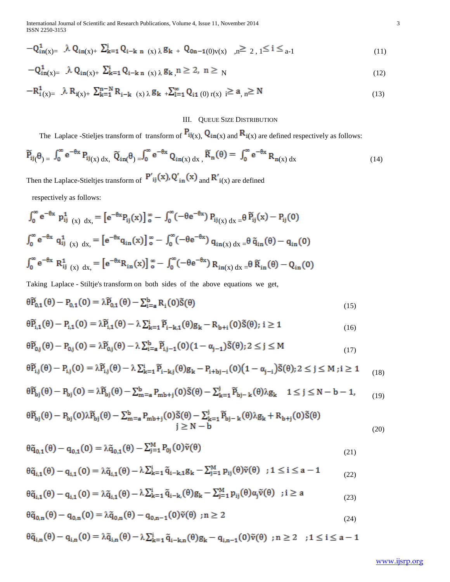International Journal of Scientific and Research Publications, Volume 4, Issue 11, November 2014 3 ISSN 2250-3153

$$
-Q_{in(x)=}^{1} \quad \lambda Q_{in(x)+} \sum_{k=1}^{i} Q_{i-k} \quad n \quad (x) \quad \lambda g_{k} \quad + \quad Q_{0n-1(0)v(x)} \quad \lambda g_{k} \geq 2 \quad , \quad 1 \leq i \leq a-1 \tag{11}
$$

$$
-Q_{in(x)=}^{1} \ \lambda Q_{in(x)+} \ \Sigma_{k=1}^{i} Q_{i-k \ n \ (x) \lambda} g_{k} \ n \geq 2, \ n \geq N \tag{12}
$$

$$
-R_{i\,(x)=}^{1} \quad \lambda R_{i\,(x)+} \sum_{k=1}^{n-N} R_{i-k\ (x)\,\lambda} g_{k\,\,+\sum_{l=1}^{\infty} Q_{i1\,(0)\,r(x)\,\,i} \ge a_{,\,n} \ge N \tag{13}
$$

# III. QUEUE SIZE DISTRIBUTION

The Laplace -Stieljes transform of transform of  $P_{ij(x)}$ ,  $Q_{in(x)}$  and  $R_{i(x)}$  are defined respectively as follows:

$$
\widetilde{P}_{ij}(\theta) = \int_0^\infty e^{-\theta x} P_{ij(x) dx}, \ \widetilde{Q}_{in}(\theta) = \int_0^\infty e^{-\theta x} Q_{in(x) dx}, \ \widetilde{R}_n(\theta) = \int_0^\infty e^{-\theta x} R_{n(x) dx}
$$
\n(14)

Then the Laplace-Stieltjes transform of  $P'_{ij}(x)$ ,  $Q'_{in}(x)$  and  $R'_{i(x)}$  are defined

respectively as follows:

$$
\int_{0}^{\infty} e^{-\theta x} p_{ij}^{1}(x) dx = [e^{-\theta x} P_{ij}(x)]_{0}^{\infty} - \int_{0}^{\infty} (-\theta e^{-\theta x}) P_{ij}(x) dx = \theta \tilde{P}_{ij}(x) - P_{ij}(0)
$$
  

$$
\int_{0}^{\infty} e^{-\theta x} q_{ij}^{1}(x) dx = [e^{-\theta x} q_{in}(x)]_{0}^{\infty} - \int_{0}^{\infty} (-\theta e^{-\theta x}) q_{in(x) dx} = \theta \tilde{q}_{in}(\theta) - q_{in}(0)
$$
  

$$
\int_{0}^{\infty} e^{-\theta x} R_{ij}^{1}(x) dx = [e^{-\theta x} R_{in}(x)]_{0}^{\infty} - \int_{0}^{\infty} (-\theta e^{-\theta x}) R_{in(x) dx} = \theta \tilde{R}_{in}(\theta) - Q_{in}(0)
$$

Taking Laplace - Stiltje's transform on both sides of the above equations we get,

$$
\theta \widetilde{P}_{0,1}(\theta) - P_{0,1}(0) = \lambda \widetilde{P}_{0,1}(\theta) - \sum_{i=a}^{b} R_i(0) \widetilde{S}(\theta)
$$
\n(15)

$$
\theta \widetilde{P}_{i,1}(\theta) - P_{i,1}(0) = \lambda \widetilde{P}_{i,1}(\theta) - \lambda \sum_{k=1}^{i} \widetilde{P}_{i-k,1}(\theta) g_k - R_{b+i}(0) \widetilde{S}(\theta); i \ge 1
$$
\n(16)

$$
\theta \widetilde{P}_{0,j}(\theta) - P_{0,j}(0) = \lambda \widetilde{P}_{0,j}(\theta) - \lambda \sum_{i=a}^{b} \widetilde{P}_{i,j-1}(0) (1 - \alpha_{j-1}) \widetilde{S}(\theta); 2 \le j \le M
$$
\n(17)

$$
\theta \widetilde{P}_{i,j}(\theta) - P_{i,j}(0) = \lambda \widetilde{P}_{i,j}(\theta) - \lambda \sum_{k=1}^{i} \widetilde{P}_{i-k,j}(\theta) g_k - P_{i+bj-i}(0) (1 - \alpha_{j-i}) \widetilde{S}(\theta); 2 \le j \le M; i \ge 1
$$
 (18)

$$
\theta \widetilde{P}_{bj}(\theta) - P_{bj}(0) = \lambda \widetilde{P}_{bj}(\theta) - \sum_{m=a}^{b} P_{mb+j}(0) \widetilde{S}(\theta) - \sum_{k=1}^{j} \widetilde{P}_{bj-k}(\theta) \lambda g_k \quad 1 \le j \le N - b - 1,\tag{19}
$$

$$
\theta \widetilde{P}_{bj}(\theta) - P_{bj}(0)\lambda \widetilde{P}_{bj}(\theta) - \sum_{m=a}^{b} P_{mb+j}(0)\widetilde{S}(\theta) - \sum_{k=1}^{j} \widetilde{P}_{bj-k}(\theta)\lambda g_{k} + R_{b+j}(0)\widetilde{S}(\theta)
$$
\n
$$
j \ge N - b
$$
\n(20)

$$
\theta \tilde{q}_{0,1}(\theta) - q_{0,1}(0) = \lambda \tilde{q}_{0,1}(\theta) - \sum_{j=1}^{M} P_{0j}(0) \tilde{v}(\theta)
$$
\n(21)

$$
\theta \tilde{q}_{i,1}(\theta) - q_{i,1}(0) = \lambda \tilde{q}_{i,1}(\theta) - \lambda \sum_{k=1}^{i} \tilde{q}_{i-k,1} g_k - \sum_{j=1}^{M} p_{ij}(\theta) \tilde{v}(\theta) \quad ; 1 \le i \le a-1
$$
\n(22)

$$
\theta \tilde{q}_{i,1}(\theta) - q_{i,1}(0) = \lambda \tilde{q}_{i,1}(\theta) - \lambda \sum_{k=1}^{i} \tilde{q}_{i-k,}(\theta) g_k - \sum_{j=1}^{M} p_{ij}(\theta) \alpha_j \tilde{v}(\theta) \quad ; i \ge a
$$
\n(23)

$$
\theta \tilde{q}_{0,n}(\theta) - q_{0,n}(0) = \lambda \tilde{q}_{0,n}(\theta) - q_{0,n-1}(0)\tilde{v}(\theta) \text{ ; } n \ge 2
$$
\n(24)

$$
\theta \tilde{q}_{i,n}(\theta) - q_{i,n}(0) = \lambda \tilde{q}_{i,n}(\theta) - \lambda \sum_{k=1}^{i} \tilde{q}_{i-k,n}(\theta) g_k - q_{i,n-1}(0) \tilde{v}(\theta) \text{ ; } n \ge 2 \text{ ; } 1 \le i \le a-1
$$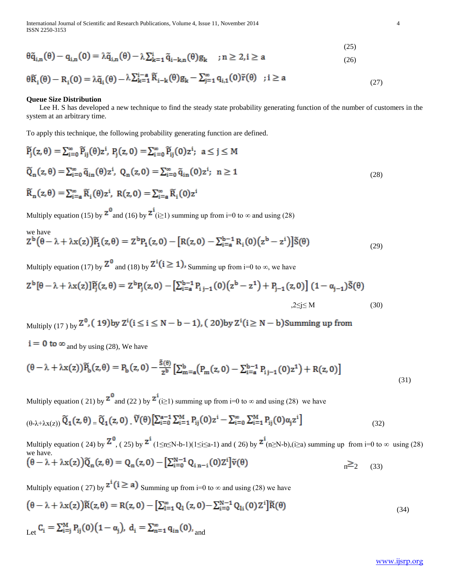International Journal of Scientific and Research Publications, Volume 4, Issue 11, November 2014 4 ISSN 2250-3153

$$
\theta \tilde{q}_{i,n}(\theta) - q_{i,n}(0) = \lambda \tilde{q}_{i,n}(\theta) - \lambda \sum_{k=1}^{i} \tilde{q}_{i-k,n}(\theta) g_k \quad ; n \ge 2, i \ge a
$$
\n(26)

$$
\theta \widetilde{R}_i(\theta) - R_i(0) = \lambda \widetilde{q}_i(\theta) - \lambda \sum_{k=1}^{i-a} \widetilde{R}_{i-k}(\theta) g_k - \sum_{j=1}^{\infty} q_{i,1}(0) \widetilde{r}(\theta) \quad ; i \ge a
$$
 (27)

# **Queue Size Distribution**

 Lee H. S has developed a new technique to find the steady state probability generating function of the number of customers in the system at an arbitrary time.

To apply this technique, the following probability generating function are defined.

$$
\widetilde{P}_j(z,\theta) = \sum_{i=0}^{\infty} \widetilde{P}_{ij}(\theta) z^i, \ P_j(z,0) = \sum_{i=0}^{\infty} \widetilde{P}_{ij}(0) z^i; \ a \le j \le M
$$
\n
$$
\widetilde{Q}_n(z,\theta) = \sum_{i=0}^{\infty} \widetilde{q}_{in}(\theta) z^i, \ Q_n(z,0) = \sum_{i=0}^{\infty} \widetilde{q}_{in}(0) z^i; \ n \ge 1
$$
\n
$$
\widetilde{R}_n(z,\theta) = \sum_{i=a}^{\infty} \widetilde{R}_i(\theta) z^i, \ R(z,0) = \sum_{i=a}^{\infty} \widetilde{R}_i(0) z^i
$$
\n(28)

Multiply equation (15) by  $\frac{2^{0}}{10}$  and (16) by  $\frac{2^{1}}{10}$  summing up from i=0 to  $\infty$  and using (28)

we have  
\n
$$
Z^{b}(\theta - \lambda + \lambda x(z))\widetilde{P}_1(z, \theta) = Z^{b}P_1(z, 0) - [R(z, 0) - \sum_{i=a}^{b-1} R_i(0)(z^{b} - z^{i})]\widetilde{S}(\theta)
$$
\n(29)

Multiply equation (17) by  $\mathbb{Z}^0$  and (18) by  $\mathbb{Z}^1(i \geq 1)$ , Summing up from i=0 to  $\infty$ , we have

$$
Z^{b}[\theta - \lambda + \lambda x(z)]\widetilde{P}_{j}(z,\theta) = Z^{b}P_{j}(z,0) - \left[\sum_{i=a}^{b-1} P_{i,j-1}(0)(z^{b} - z^{1}) + P_{j-1}(z,0)\right](1 - \alpha_{j-1})\widetilde{S}(\theta)
$$
  

$$
,2 \le j \le M
$$
 (30)

Multiply (17) by  $Z^0$ , (19) by  $Z^i$  ( $i \le i \le N-b-1$ ), (20) by  $Z^i$  ( $i \ge N-b$ ) Summing up from

 $i = 0$  to  $\infty$  and by using (28), We have

$$
(\theta - \lambda + \lambda x(z))\widetilde{P}_b(z, \theta) = P_b(z, 0) - \frac{\tilde{s}(\theta)}{z^b} \left[ \sum_{m=a}^{b} (P_m(z, 0) - \sum_{i=a}^{b-1} P_{i}{}_{j-1}(0)z^1) + R(z, 0) \right]
$$
\n(31)

Multiply equation ( 21) by  $\frac{z^0}{2}$  and (22 ) by  $\frac{z^i}{2}$  (i i = 1) summing up from i=0 to  $\infty$  and using (28) we have

$$
\left(\theta-\lambda+\lambda x(z)\right)\widetilde{Q}_1(z,\theta) = \widetilde{Q}_1(z,0)\cdot\widetilde{V}(\theta)\left[\sum_{i=0}^{a-1}\sum_{i=1}^M P_{ij}(0)z^i - \sum_{i=0}^\infty\sum_{i=1}^M P_{ij}(0)\alpha_j z^i\right]
$$
\n(32)

Multiply equation ( 24) by  $\frac{Z^0}{(1 \le n \le N-b-1)(1 \le i \le a-1)}$  and ( 26) by  $\frac{Z^i}{(n \ge N-b)}$ , (i $\ge a$ ) summing up from i=0 to  $\infty$  using (28) we have.<br>  $(\theta - \lambda + \lambda x(z))\tilde{Q}_n(z, \theta) = Q_n(z, 0) - [\sum_{i=0}^{N-1} Q_{i n-i}(0)Z^i]\tilde{v}(\theta)$  $n \geq 2$  (33)

Multiply equation ( 27) by  $z^{i}$  ( $i \ge a$ ) Summing up from i=0 to  $\infty$  and using (28) we have

$$
(\theta - \lambda + \lambda x(z))\tilde{R}(z, \theta) = R(z, 0) - \left[\sum_{i=1}^{\infty} Q_i(z, 0) - \sum_{i=0}^{N-1} Q_{1i}(0)Z^i\right]\tilde{R}(\theta)
$$
  
Let  $C_i = \sum_{i=1}^{M} P_{ij}(0)(1 - \alpha_j), d_i = \sum_{i=1}^{\infty} q_{in}(0),$  and

(25)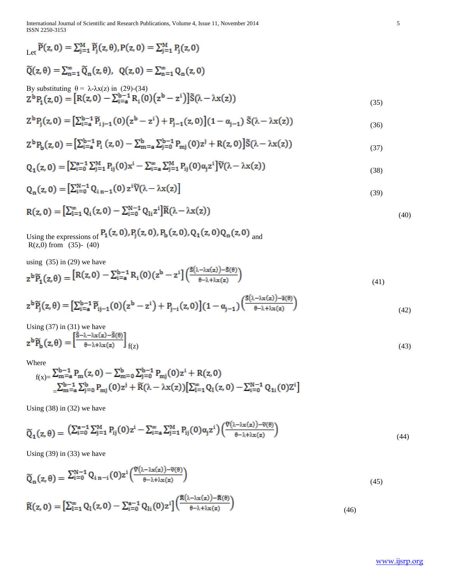International Journal of Scientific and Research Publications, Volume 4, Issue 11, November 2014 5 ISSN 2250-3153

$$
\begin{aligned}\n\sum_{\lambda \in \mathcal{C}} \widetilde{P}(z, 0) &= \sum_{j=1}^{M} \widetilde{P}_{j}(z, \theta), P(z, 0) = \sum_{j=1}^{M} P_{j}(z, 0) \\
\widetilde{Q}(z, \theta) &= \sum_{n=1}^{\infty} \widetilde{Q}_{n}(z, \theta), \quad Q(z, 0) = \sum_{n=1}^{\infty} Q_{n}(z, 0) \\
\text{By substituting } \theta &= \lambda \cdot \lambda x(z) \text{ in } (29) \cdot (34) \\
Z^{b}P_{1}(z, 0) &= \left[ R(z, 0) - \sum_{i=a}^{b-1} R_{i}(0) \left( z^{b} - z^{i} \right) \right] \widetilde{S}(\lambda - \lambda x(z))\n\end{aligned} \tag{35}
$$

$$
Z^{b}P_{j}(z,0) = \left[\sum_{i=a}^{b-1} \widetilde{P}_{i\,j-1}(0)\left(z^{b}-z^{i}\right)+P_{j-1}(z,0)\right](1-\alpha_{j-1})\,\,\widetilde{S}(\lambda-\lambda x(z))\tag{36}
$$

$$
Z^{b}P_{b}(z,0) = \left[\sum_{i=a}^{b-1} P_{i}(z,0) - \sum_{m=a}^{b} \sum_{j=0}^{b-1} P_{mj}(0)z^{j} + R(z,0)\right]\tilde{S}(\lambda - \lambda x(z))\tag{37}
$$

$$
Q_1(z,0) = \left[\sum_{i=0}^{a-1} \sum_{j=1}^{M} P_{ij}(0)x^i - \sum_{i=a}^{\infty} \sum_{j=1}^{M} P_{ij}(0)\alpha_j z^i\right] \widetilde{V}(\lambda - \lambda x(z))
$$
\n(38)

$$
Q_n(z,0) = \left[\sum_{i=0}^{N-1} Q_{i\,n-1}(0) \, z^i \widetilde{V}(\lambda - \lambda x(z))\right] \tag{39}
$$

$$
R(z, 0) = \left[\sum_{i=1}^{\infty} Q_i(z, 0) - \sum_{i=0}^{N-1} Q_{1i} z^i\right] \widetilde{R}(\lambda - \lambda x(z))
$$
\n(40)

Using the expressions of  $P_1(z, 0), P_1(z, 0), P_2(z, 0), Q_1(z, 0)Q_n(z, 0)$  and  $R(z,0)$  from (35)-(40)

using  $(35)$  in  $(29)$  we have

$$
z^{b}\widetilde{P}_1(z,\theta) = \left[R(z,0) - \sum_{i=a}^{b-1} R_i(0)(z^{b} - z^{i})\right] \left(\frac{\widetilde{s}(\lambda - \lambda x(z)) - \widetilde{s}(\theta)}{\theta - \lambda + \lambda x(z)}\right)
$$
(41)

$$
z^{b}\widetilde{P}_{j}(z,\theta) = \left[\sum_{i=a}^{b-1} \widetilde{P}_{ij-1}(0)\left(z^{b}-z^{i}\right)+P_{j-i}(z,0)\right](1-\alpha_{j-1})\left(\frac{\widetilde{S}(\lambda-\lambda x(z))-\widetilde{B}(\theta)}{\theta-\lambda+\lambda x(z)}\right)
$$
\n(42)

Using (37) in (31) we have

$$
z^{b}\widetilde{P}_{b}(z,\theta) = \left[\frac{\widetilde{S}-\lambda-\lambda x(z)-\widetilde{S}(\theta)}{\theta-\lambda+\lambda x(z)}\right]_{f(z)}
$$
(43)

Where

 f(x)= =

Using (38) in (32) we have

$$
\widetilde{Q}_1(z,\theta) = \left( \sum_{i=0}^{a-1} \sum_{j=1}^M P_{ij}(0) z^i - \sum_{i=a}^{\infty} \sum_{j=1}^M P_{ij}(0) \alpha_j z^i \right) \left( \frac{\widetilde{v}(\lambda - \lambda x(z)) - \widetilde{v}(\theta)}{\theta - \lambda + \lambda x(z)} \right)
$$
\n(44)

S.

o.

Using  $(39)$  in  $(33)$  we have

$$
\widetilde{Q}_n(z,\theta) = \sum_{i=0}^{N-1} Q_{i\,n-i}(0) z^i \left( \frac{\widetilde{v}(\lambda - \lambda x(z)) - \widetilde{v}(\theta)}{\theta - \lambda + \lambda x(z)} \right) \tag{45}
$$

$$
\widetilde{R}(z,0) = \left[\sum_{i=1}^{\infty} Q_i(z,0) - \sum_{i=0}^{a-1} Q_{1i}(0)z^i\right] \left(\frac{\widetilde{R}(\lambda - \lambda x(z)) - \widetilde{R}(\theta)}{\theta - \lambda + \lambda x(z)}\right)
$$
\n(46)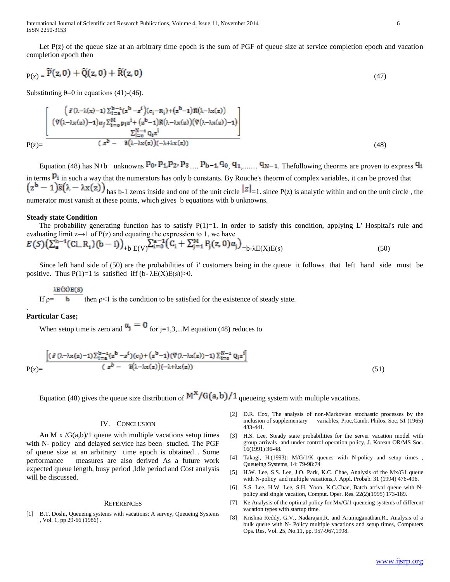International Journal of Scientific and Research Publications, Volume 4, Issue 11, November 2014 6 ISSN 2250-3153

Let  $P(z)$  of the queue size at an arbitrary time epoch is the sum of PGF of queue size at service completion epoch and vacation completion epoch then

$$
P(z) = \widetilde{P}(z,0) + \widetilde{Q}(z,0) + \widetilde{R}(z,0) \tag{47}
$$

Substituting  $\theta = 0$  in equations (41)-(46).

$$
P(z) = \frac{\begin{bmatrix} \left(\tilde{s}\left(\lambda-\lambda(x)-1\right)\sum_{i=a}^{b-1}(z^{b}-z^{i})\right)\left(c_{i}-R_{i}\right)+\left(z^{b}-1\right)\tilde{R}\left(\lambda-\lambda x(z)\right) \\ \left(\tilde{V}\left(\lambda-\lambda x(z)\right)-1\right)\alpha_{j}\sum_{i=a}^{M}p_{i}z^{i}+\left(z^{b}-1\right)\tilde{R}\left(\lambda-\lambda x(z)\right)\left(\tilde{V}\left(\lambda-\lambda x(z)\right)-1\right) \end{bmatrix}}{\sum_{i=a}^{N-1}Q_{i}z^{i}}}{\left(z^{b}-\tilde{s}\left(\lambda-\lambda x(z)\right)\left(-\lambda+\lambda x(z)\right)}\tag{48}
$$

Equation (48) has N+b unknowns  $P_0$ ,  $P_1$ ,  $P_2$ ,  $P_3$   $P_1$ ,  $P_2$ ,  $P_3$   $P_1$ ,  $P_4$ ,  $P_5$ ,  $P_6$ ,  $P_1$ ,  $P_{10}$ ,  $P_{11}$ ,  $P_{10}$ ,  $P_{11}$ ,  $P_{10}$ ,  $P_{11}$ ,  $P_{10}$ ,  $P_{11}$ ,  $P_{10}$ ,  $P_{11}$ ,  $P_{10}$ ,  $P_{11}$ , in terms  $P_i$  in such a way that the numerators has only b constants. By Rouche's theorm of complex variables, it can be proved that  $(z^{b}-1)\tilde{s}(\lambda-\lambda x(z))$ <sub>has b-1</sub> zeros inside and one of the unit circle  $|z|_{-1}$ , since P(z) is analytic within and on the unit circle, the numerator must vanish at these points, which gives b equations with b unknowns.

#### **Steady state Condition**

The probability generating function has to satisfy  $P(1)=1$ . In order to satisfy this condition, applying L' Hospital's rule and evaluating limit  $z \rightarrow 1$  of P(z) and equating the expression to 1, we have

$$
E(S)\left(\sum_{a}^{b-1}(Ci_{-}R_{i})(b-i)\right)_{+b}E(V)\sum_{i=0}^{a-1}(C_{i}+\sum_{j=1}^{m}P_{j}(z,0)\alpha_{j})_{=b-\lambda E(X)E(s)}
$$
(50)

 Since left hand side of (50) are the probabilities of 'i' customers being in the queue it follows that left hand side must be positive. Thus  $P(1)=1$  is satisfied iff (b- $\lambda E(X)E(s)$ )>0.

## λE (X) E (S)

If  $\rho$  = then  $\rho$ <1 is the condition to be satisfied for the existence of steady state.

# **Particular Case;**

.

When setup time is zero and  $\alpha_j = 0$  for j=1,3,...M equation (48) reduces to

$$
P(z) = \frac{\left[ (\tilde{s} \left( \lambda - \lambda x(z) - 1 \right) \sum_{i=a}^{b-1} (z^b - z^i)(c_i) + (z^b - 1)(\tilde{V}(\lambda - \lambda x(z)) - 1) \sum_{i=0}^{N-1} Q_i z^i \right]}{(z^b - \tilde{s}(\lambda - \lambda x(z))(-\lambda + \lambda x(z))}
$$
\n(51)

Equation (48) gives the queue size distribution of  $M^X/G(a,b)/1$  queueing system with multiple vacations.

#### IV. CONCLUSION

An M x  $/G(a,b)/1$  queue with multiple vacations setup times with N- policy and delayed service has been studied. The PGF of queue size at an arbitrary time epoch is obtained . Some performance measures are also derived As a future work expected queue length, busy period ,Idle period and Cost analysis will be discussed.

#### **REFERENCES**

[1] B.T. Doshi, Queueing systems with vacations: A survey, Queueing Systems , Vol. 1, pp 29-66 (1986) .

- [2] D.R. Cox, The analysis of non-Markovian stochastic processes by the inclusion of supplementary variables, Proc.Camb. Philos. Soc. 51 (1965) 433-441.
- [3] H.S. Lee, Steady state probabilities for the server vacation model with group arrivals and under control operation policy, J. Korean OR/MS Soc. 16(1991) 36-48.
- [4] Takagi, H.(1993): M/G/1/K queues with N-policy and setup times , Queueing Systems, 14: 79-98:74
- [5] H.W. Lee, S.S. Lee, J.O. Park, K.C. Chae, Analysis of the Mx/G1 queue with N-policy and multiple vacations,J. Appl. Probab. 31 (1994) 476-496.
- [6] S.S. Lee, H.W. Lee, S.H. Yoon, K.C.Chae, Batch arrival queue with Npolicy and single vacation, Comput. Oper. Res. 22(2)(1995) 173-189.
- [7] Ke Analysis of the optimal policy for Mx/G/1 queueing systems of different vacation types with startup time.
- [8] Krishna Reddy, G.V., Nadarajan,R. and Arumuganathan,R., Analysis of a bulk queue with N- Policy multiple vacations and setup times, Computers Ops. Res, Vol. 25, No.11, pp. 957-967,1998.